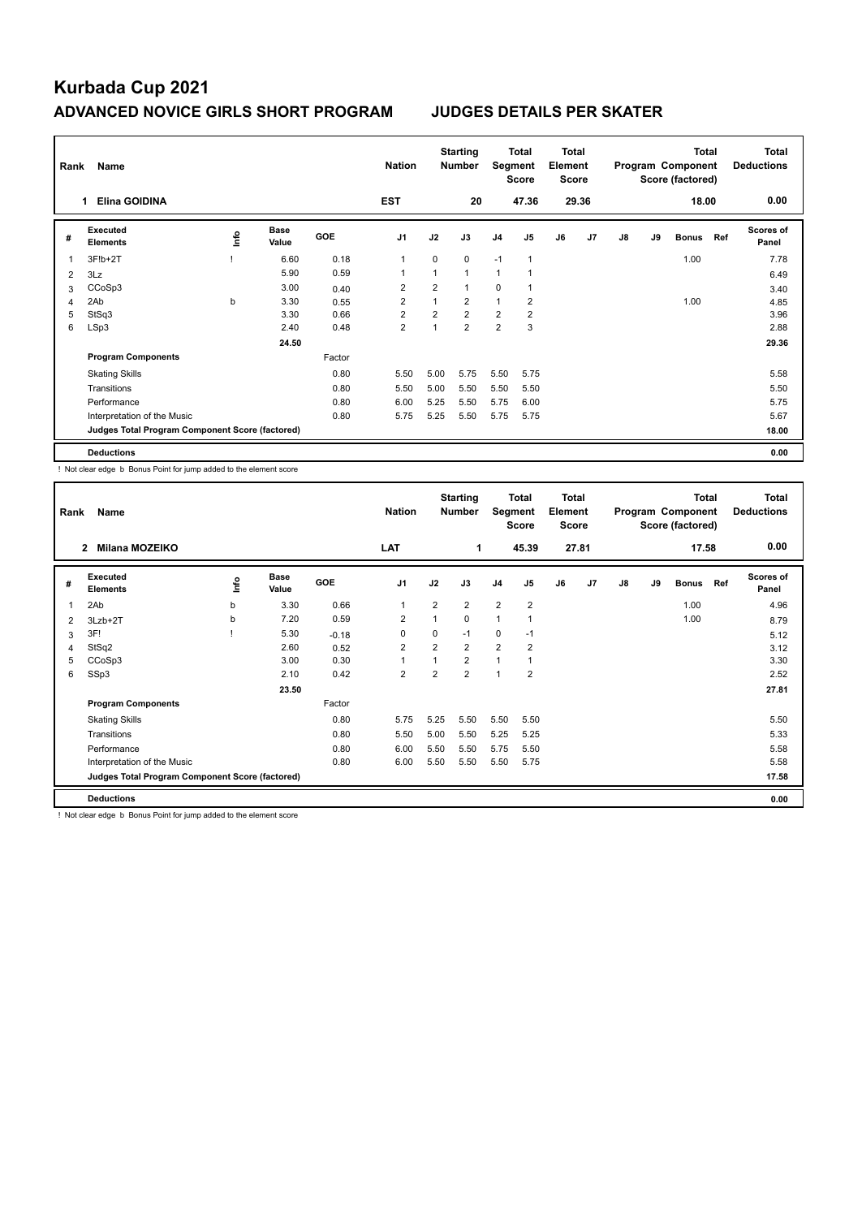| Rank | Name                                            |      |                      |            | <b>Nation</b>  |                | <b>Starting</b><br><b>Number</b> | Segment        | Total<br><b>Score</b> | <b>Total</b><br>Element<br><b>Score</b> |                |    |    | <b>Total</b><br>Program Component<br>Score (factored) |     | <b>Total</b><br><b>Deductions</b> |
|------|-------------------------------------------------|------|----------------------|------------|----------------|----------------|----------------------------------|----------------|-----------------------|-----------------------------------------|----------------|----|----|-------------------------------------------------------|-----|-----------------------------------|
|      | <b>Elina GOIDINA</b>                            |      |                      |            | <b>EST</b>     |                | 20                               |                | 47.36                 |                                         | 29.36          |    |    | 18.00                                                 |     | 0.00                              |
| #    | Executed<br><b>Elements</b>                     | ١nf٥ | <b>Base</b><br>Value | <b>GOE</b> | J <sub>1</sub> | J2             | J3                               | J <sub>4</sub> | J <sub>5</sub>        | J6                                      | J <sub>7</sub> | J8 | J9 | <b>Bonus</b>                                          | Ref | <b>Scores of</b><br>Panel         |
| 1    | 3F!b+2T                                         |      | 6.60                 | 0.18       | $\overline{1}$ | $\mathbf 0$    | $\mathbf 0$                      | $-1$           | $\mathbf{1}$          |                                         |                |    |    | 1.00                                                  |     | 7.78                              |
| 2    | 3Lz                                             |      | 5.90                 | 0.59       | 1              |                | $\mathbf{1}$                     | $\mathbf{1}$   |                       |                                         |                |    |    |                                                       |     | 6.49                              |
| 3    | CCoSp3                                          |      | 3.00                 | 0.40       | $\overline{2}$ | $\overline{2}$ | $\mathbf{1}$                     | $\mathbf 0$    | $\overline{1}$        |                                         |                |    |    |                                                       |     | 3.40                              |
| 4    | 2Ab                                             | b    | 3.30                 | 0.55       | 2              |                | 2                                | $\mathbf{1}$   | 2                     |                                         |                |    |    | 1.00                                                  |     | 4.85                              |
| 5    | StSq3                                           |      | 3.30                 | 0.66       | $\overline{2}$ | $\overline{2}$ | $\overline{2}$                   | $\overline{2}$ | $\overline{2}$        |                                         |                |    |    |                                                       |     | 3.96                              |
| 6    | LSp3                                            |      | 2.40                 | 0.48       | $\overline{2}$ |                | $\overline{2}$                   | $\overline{2}$ | 3                     |                                         |                |    |    |                                                       |     | 2.88                              |
|      |                                                 |      | 24.50                |            |                |                |                                  |                |                       |                                         |                |    |    |                                                       |     | 29.36                             |
|      | <b>Program Components</b>                       |      |                      | Factor     |                |                |                                  |                |                       |                                         |                |    |    |                                                       |     |                                   |
|      | <b>Skating Skills</b>                           |      |                      | 0.80       | 5.50           | 5.00           | 5.75                             | 5.50           | 5.75                  |                                         |                |    |    |                                                       |     | 5.58                              |
|      | Transitions                                     |      |                      | 0.80       | 5.50           | 5.00           | 5.50                             | 5.50           | 5.50                  |                                         |                |    |    |                                                       |     | 5.50                              |
|      | Performance                                     |      |                      | 0.80       | 6.00           | 5.25           | 5.50                             | 5.75           | 6.00                  |                                         |                |    |    |                                                       |     | 5.75                              |
|      | Interpretation of the Music                     |      |                      | 0.80       | 5.75           | 5.25           | 5.50                             | 5.75           | 5.75                  |                                         |                |    |    |                                                       |     | 5.67                              |
|      | Judges Total Program Component Score (factored) |      |                      |            |                |                |                                  |                |                       |                                         |                |    |    |                                                       |     | 18.00                             |
|      | <b>Deductions</b>                               |      |                      |            |                |                |                                  |                |                       |                                         |                |    |    |                                                       |     | 0.00                              |

! Not clear edge b Bonus Point for jump added to the element score

| Rank | Name                                            |      |                      |         | <b>Nation</b>  |                | <b>Starting</b><br><b>Number</b> | Segment        | <b>Total</b><br><b>Score</b> | <b>Total</b><br>Element<br><b>Score</b> |                |               |    | <b>Total</b><br>Program Component<br>Score (factored) |     | <b>Total</b><br><b>Deductions</b> |
|------|-------------------------------------------------|------|----------------------|---------|----------------|----------------|----------------------------------|----------------|------------------------------|-----------------------------------------|----------------|---------------|----|-------------------------------------------------------|-----|-----------------------------------|
|      | <b>Milana MOZEIKO</b><br>$\mathbf{2}$           |      |                      |         | <b>LAT</b>     |                | 1                                |                | 45.39                        |                                         | 27.81          |               |    | 17.58                                                 |     | 0.00                              |
| #    | Executed<br><b>Elements</b>                     | ١mfo | <b>Base</b><br>Value | GOE     | J <sub>1</sub> | J2             | J3                               | J <sub>4</sub> | J5                           | J6                                      | J <sub>7</sub> | $\mathsf{J}8$ | J9 | <b>Bonus</b>                                          | Ref | <b>Scores of</b><br>Panel         |
| 1    | 2Ab                                             | b    | 3.30                 | 0.66    | $\overline{1}$ | $\overline{2}$ | $\overline{2}$                   | $\overline{2}$ | $\overline{2}$               |                                         |                |               |    | 1.00                                                  |     | 4.96                              |
| 2    | 3Lzb+2T                                         | b    | 7.20                 | 0.59    | $\overline{2}$ | 1              | 0                                | 1              |                              |                                         |                |               |    | 1.00                                                  |     | 8.79                              |
| 3    | 3F!                                             |      | 5.30                 | $-0.18$ | 0              | 0              | $-1$                             | 0              | $-1$                         |                                         |                |               |    |                                                       |     | 5.12                              |
| 4    | StSq2                                           |      | 2.60                 | 0.52    | $\overline{2}$ | $\overline{2}$ | $\overline{2}$                   | $\overline{2}$ | $\overline{\mathbf{c}}$      |                                         |                |               |    |                                                       |     | 3.12                              |
| 5    | CCoSp3                                          |      | 3.00                 | 0.30    | $\overline{1}$ | $\mathbf 1$    | $\overline{2}$                   | 1              | 1                            |                                         |                |               |    |                                                       |     | 3.30                              |
| 6    | SSp3                                            |      | 2.10                 | 0.42    | $\overline{2}$ | $\overline{2}$ | $\overline{2}$                   | $\overline{1}$ | $\overline{2}$               |                                         |                |               |    |                                                       |     | 2.52                              |
|      |                                                 |      | 23.50                |         |                |                |                                  |                |                              |                                         |                |               |    |                                                       |     | 27.81                             |
|      | <b>Program Components</b>                       |      |                      | Factor  |                |                |                                  |                |                              |                                         |                |               |    |                                                       |     |                                   |
|      | <b>Skating Skills</b>                           |      |                      | 0.80    | 5.75           | 5.25           | 5.50                             | 5.50           | 5.50                         |                                         |                |               |    |                                                       |     | 5.50                              |
|      | Transitions                                     |      |                      | 0.80    | 5.50           | 5.00           | 5.50                             | 5.25           | 5.25                         |                                         |                |               |    |                                                       |     | 5.33                              |
|      | Performance                                     |      |                      | 0.80    | 6.00           | 5.50           | 5.50                             | 5.75           | 5.50                         |                                         |                |               |    |                                                       |     | 5.58                              |
|      | Interpretation of the Music                     |      |                      | 0.80    | 6.00           | 5.50           | 5.50                             | 5.50           | 5.75                         |                                         |                |               |    |                                                       |     | 5.58                              |
|      | Judges Total Program Component Score (factored) |      |                      |         |                |                |                                  |                |                              |                                         |                |               |    |                                                       |     | 17.58                             |
|      | <b>Deductions</b>                               |      |                      |         |                |                |                                  |                |                              |                                         |                |               |    |                                                       |     | 0.00                              |

! Not clear edge b Bonus Point for jump added to the element score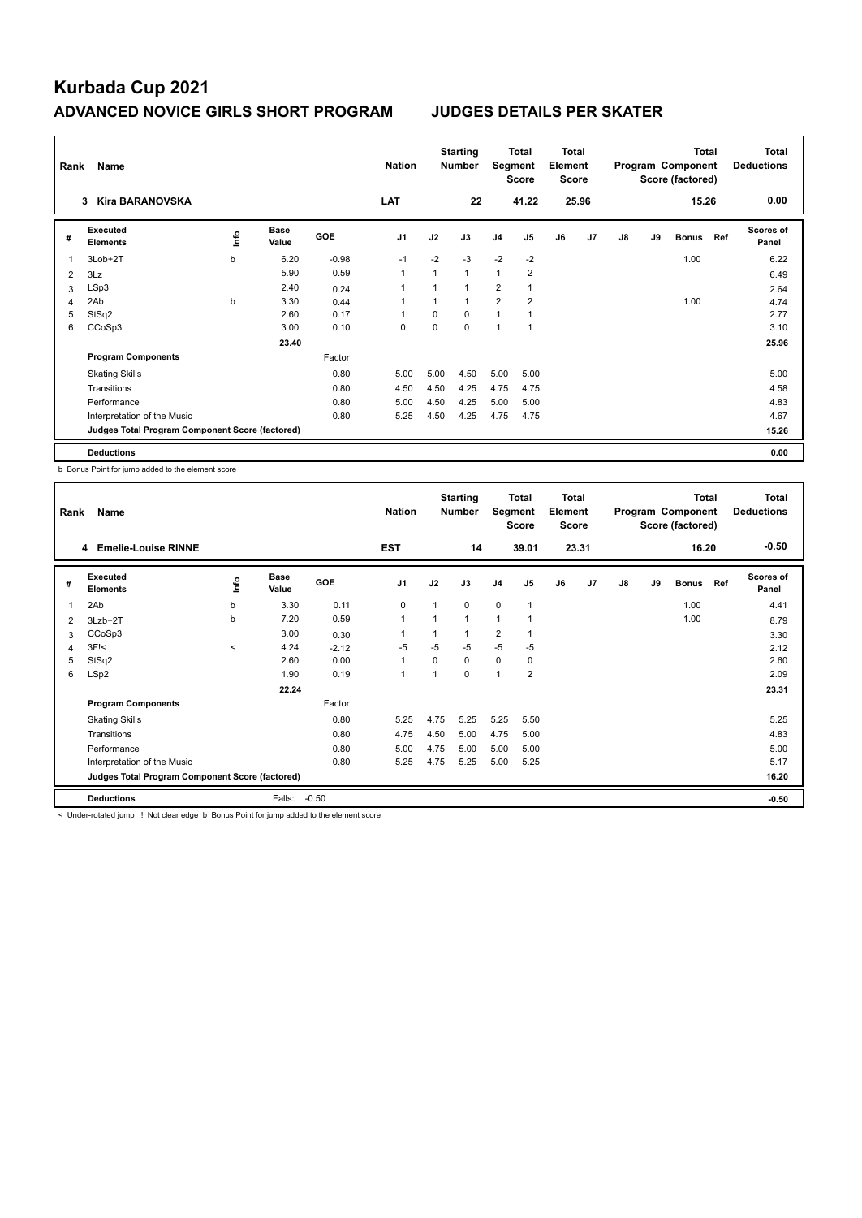| Rank | Name                                            |    |                      |         | <b>Nation</b>  |          | <b>Starting</b><br><b>Number</b> | Segment        | Total<br><b>Score</b> | Total<br>Element<br>Score |                |    |    | <b>Total</b><br>Program Component<br>Score (factored) |     | <b>Total</b><br><b>Deductions</b> |
|------|-------------------------------------------------|----|----------------------|---------|----------------|----------|----------------------------------|----------------|-----------------------|---------------------------|----------------|----|----|-------------------------------------------------------|-----|-----------------------------------|
|      | <b>Kira BARANOVSKA</b><br>3                     |    |                      |         | LAT            |          | 22                               |                | 41.22                 |                           | 25.96          |    |    | 15.26                                                 |     | 0.00                              |
| #    | Executed<br><b>Elements</b>                     | ۴ů | <b>Base</b><br>Value | GOE     | J <sub>1</sub> | J2       | J3                               | J <sub>4</sub> | J <sub>5</sub>        | J6                        | J <sub>7</sub> | J8 | J9 | <b>Bonus</b>                                          | Ref | <b>Scores of</b><br>Panel         |
| 1    | 3Lob+2T                                         | b  | 6.20                 | $-0.98$ | $-1$           | $-2$     | $-3$                             | $-2$           | $-2$                  |                           |                |    |    | 1.00                                                  |     | 6.22                              |
| 2    | 3Lz                                             |    | 5.90                 | 0.59    | $\mathbf{1}$   | 1        | 1                                | $\mathbf{1}$   | $\overline{2}$        |                           |                |    |    |                                                       |     | 6.49                              |
| 3    | LSp3                                            |    | 2.40                 | 0.24    |                |          |                                  | $\overline{2}$ | 1                     |                           |                |    |    |                                                       |     | 2.64                              |
| 4    | 2Ab                                             | b  | 3.30                 | 0.44    |                | 1        | 1                                | $\overline{2}$ | $\overline{2}$        |                           |                |    |    | 1.00                                                  |     | 4.74                              |
| 5    | StSq2                                           |    | 2.60                 | 0.17    |                | $\Omega$ | 0                                | $\overline{1}$ | 1                     |                           |                |    |    |                                                       |     | 2.77                              |
| 6    | CCoSp3                                          |    | 3.00                 | 0.10    | $\mathbf 0$    | $\Omega$ | 0                                | 1              | 1                     |                           |                |    |    |                                                       |     | 3.10                              |
|      |                                                 |    | 23.40                |         |                |          |                                  |                |                       |                           |                |    |    |                                                       |     | 25.96                             |
|      | <b>Program Components</b>                       |    |                      | Factor  |                |          |                                  |                |                       |                           |                |    |    |                                                       |     |                                   |
|      | <b>Skating Skills</b>                           |    |                      | 0.80    | 5.00           | 5.00     | 4.50                             | 5.00           | 5.00                  |                           |                |    |    |                                                       |     | 5.00                              |
|      | Transitions                                     |    |                      | 0.80    | 4.50           | 4.50     | 4.25                             | 4.75           | 4.75                  |                           |                |    |    |                                                       |     | 4.58                              |
|      | Performance                                     |    |                      | 0.80    | 5.00           | 4.50     | 4.25                             | 5.00           | 5.00                  |                           |                |    |    |                                                       |     | 4.83                              |
|      | Interpretation of the Music                     |    |                      | 0.80    | 5.25           | 4.50     | 4.25                             | 4.75           | 4.75                  |                           |                |    |    |                                                       |     | 4.67                              |
|      | Judges Total Program Component Score (factored) |    |                      |         |                |          |                                  |                |                       |                           |                |    |    |                                                       |     | 15.26                             |
|      | <b>Deductions</b>                               |    |                      |         |                |          |                                  |                |                       |                           |                |    |    |                                                       |     | 0.00                              |

b Bonus Point for jump added to the element score

| Rank | Name                                            |         |                      |         | <b>Nation</b>  |                | <b>Starting</b><br><b>Number</b> | Segment        | Total<br>Score          | Total<br>Element<br><b>Score</b> |                |    |    | <b>Total</b><br>Program Component<br>Score (factored) |     | Total<br><b>Deductions</b> |
|------|-------------------------------------------------|---------|----------------------|---------|----------------|----------------|----------------------------------|----------------|-------------------------|----------------------------------|----------------|----|----|-------------------------------------------------------|-----|----------------------------|
|      | <b>Emelie-Louise RINNE</b><br>4                 |         |                      |         | <b>EST</b>     |                | 14                               |                | 39.01                   |                                  | 23.31          |    |    | 16.20                                                 |     | $-0.50$                    |
| #    | Executed<br><b>Elements</b>                     | lnfo    | <b>Base</b><br>Value | GOE     | J <sub>1</sub> | J2             | J3                               | J <sub>4</sub> | J <sub>5</sub>          | J6                               | J <sub>7</sub> | J8 | J9 | <b>Bonus</b>                                          | Ref | <b>Scores of</b><br>Panel  |
| 1    | 2Ab                                             | b       | 3.30                 | 0.11    | 0              | 1              | 0                                | $\mathbf 0$    | 1                       |                                  |                |    |    | 1.00                                                  |     | 4.41                       |
| 2    | 3Lzb+2T                                         | b       | 7.20                 | 0.59    | 1              | 1              | 1                                | $\overline{1}$ | 1                       |                                  |                |    |    | 1.00                                                  |     | 8.79                       |
| 3    | CCoSp3                                          |         | 3.00                 | 0.30    |                |                |                                  | $\overline{2}$ | 1                       |                                  |                |    |    |                                                       |     | 3.30                       |
| 4    | $3F$ $\leq$                                     | $\prec$ | 4.24                 | $-2.12$ | $-5$           | $-5$           | $-5$                             | $-5$           | -5                      |                                  |                |    |    |                                                       |     | 2.12                       |
| 5    | StSq2                                           |         | 2.60                 | 0.00    | 1              | $\Omega$       | 0                                | $\Omega$       | 0                       |                                  |                |    |    |                                                       |     | 2.60                       |
| 6    | LSp2                                            |         | 1.90                 | 0.19    | $\mathbf{1}$   | $\overline{1}$ | 0                                | 1              | $\overline{\mathbf{c}}$ |                                  |                |    |    |                                                       |     | 2.09                       |
|      |                                                 |         | 22.24                |         |                |                |                                  |                |                         |                                  |                |    |    |                                                       |     | 23.31                      |
|      | <b>Program Components</b>                       |         |                      | Factor  |                |                |                                  |                |                         |                                  |                |    |    |                                                       |     |                            |
|      | <b>Skating Skills</b>                           |         |                      | 0.80    | 5.25           | 4.75           | 5.25                             | 5.25           | 5.50                    |                                  |                |    |    |                                                       |     | 5.25                       |
|      | Transitions                                     |         |                      | 0.80    | 4.75           | 4.50           | 5.00                             | 4.75           | 5.00                    |                                  |                |    |    |                                                       |     | 4.83                       |
|      | Performance                                     |         |                      | 0.80    | 5.00           | 4.75           | 5.00                             | 5.00           | 5.00                    |                                  |                |    |    |                                                       |     | 5.00                       |
|      | Interpretation of the Music                     |         |                      | 0.80    | 5.25           | 4.75           | 5.25                             | 5.00           | 5.25                    |                                  |                |    |    |                                                       |     | 5.17                       |
|      | Judges Total Program Component Score (factored) |         |                      |         |                |                |                                  |                |                         |                                  |                |    |    |                                                       |     | 16.20                      |
|      | <b>Deductions</b>                               |         | Falls:               | $-0.50$ |                |                |                                  |                |                         |                                  |                |    |    |                                                       |     | $-0.50$                    |

< Under-rotated jump ! Not clear edge b Bonus Point for jump added to the element score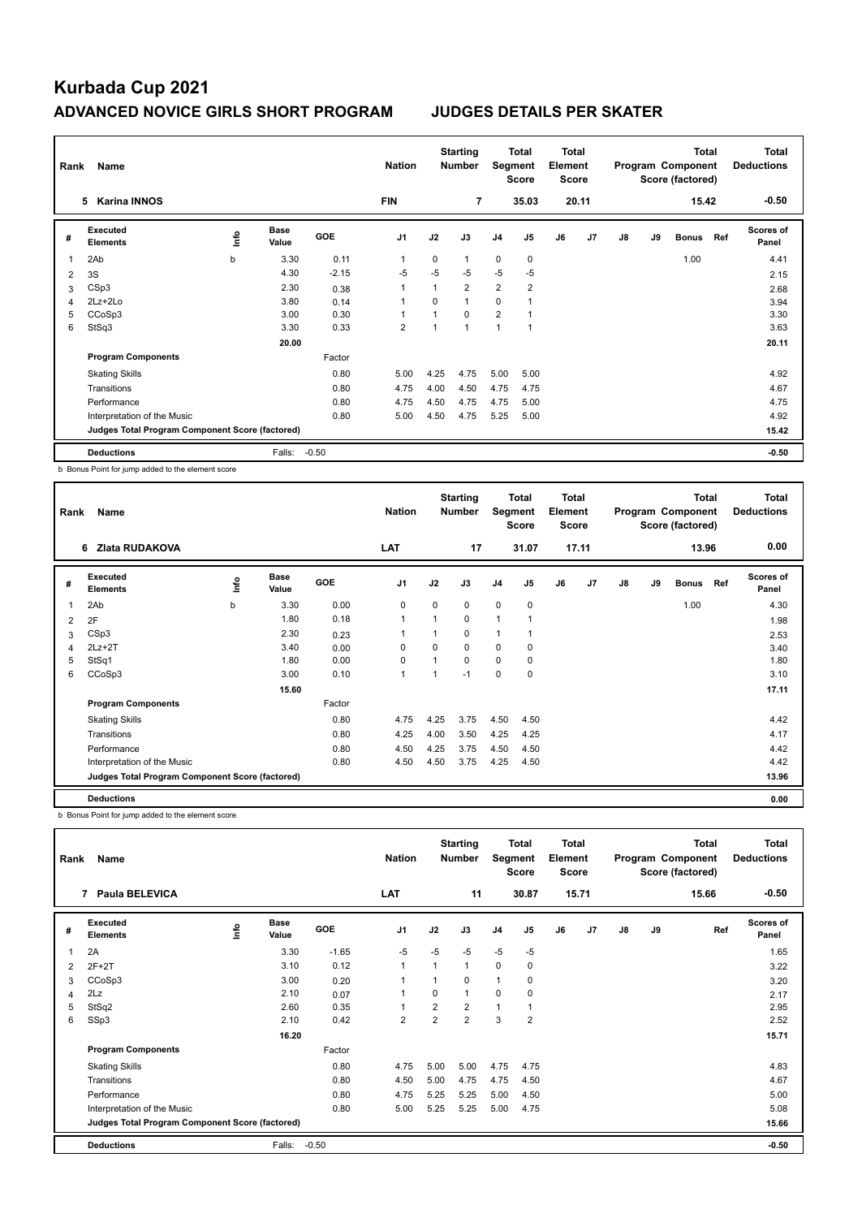| Rank | Name                                            |      |                      |         | <b>Nation</b>  |          | <b>Starting</b><br><b>Number</b> | Segment        | Total<br><b>Score</b>   | <b>Total</b><br>Element<br><b>Score</b> |                |    |    | <b>Total</b><br>Program Component<br>Score (factored) |     | <b>Total</b><br><b>Deductions</b> |
|------|-------------------------------------------------|------|----------------------|---------|----------------|----------|----------------------------------|----------------|-------------------------|-----------------------------------------|----------------|----|----|-------------------------------------------------------|-----|-----------------------------------|
|      | <b>Karina INNOS</b><br>5                        |      |                      |         | <b>FIN</b>     |          | 7                                |                | 35.03                   |                                         | 20.11          |    |    | 15.42                                                 |     | $-0.50$                           |
| #    | Executed<br><b>Elements</b>                     | lnfo | <b>Base</b><br>Value | GOE     | J <sub>1</sub> | J2       | J3                               | J <sub>4</sub> | J <sub>5</sub>          | J6                                      | J <sub>7</sub> | J8 | J9 | <b>Bonus</b>                                          | Ref | <b>Scores of</b><br>Panel         |
| 1    | 2Ab                                             | b    | 3.30                 | 0.11    | 1              | 0        | 1                                | $\mathbf 0$    | 0                       |                                         |                |    |    | 1.00                                                  |     | 4.41                              |
| 2    | 3S                                              |      | 4.30                 | $-2.15$ | -5             | $-5$     | $-5$                             | $-5$           | $-5$                    |                                         |                |    |    |                                                       |     | 2.15                              |
| 3    | CSp3                                            |      | 2.30                 | 0.38    | $\overline{1}$ |          | $\overline{2}$                   | $\overline{2}$ | $\overline{\mathbf{c}}$ |                                         |                |    |    |                                                       |     | 2.68                              |
| 4    | 2Lz+2Lo                                         |      | 3.80                 | 0.14    | 1              | $\Omega$ | $\mathbf{1}$                     | $\Omega$       |                         |                                         |                |    |    |                                                       |     | 3.94                              |
| 5    | CCoSp3                                          |      | 3.00                 | 0.30    | 1              |          | $\Omega$                         | $\overline{2}$ |                         |                                         |                |    |    |                                                       |     | 3.30                              |
| 6    | StSq3                                           |      | 3.30                 | 0.33    | $\overline{2}$ |          | $\mathbf 1$                      | $\mathbf 1$    | 1                       |                                         |                |    |    |                                                       |     | 3.63                              |
|      |                                                 |      | 20.00                |         |                |          |                                  |                |                         |                                         |                |    |    |                                                       |     | 20.11                             |
|      | <b>Program Components</b>                       |      |                      | Factor  |                |          |                                  |                |                         |                                         |                |    |    |                                                       |     |                                   |
|      | <b>Skating Skills</b>                           |      |                      | 0.80    | 5.00           | 4.25     | 4.75                             | 5.00           | 5.00                    |                                         |                |    |    |                                                       |     | 4.92                              |
|      | Transitions                                     |      |                      | 0.80    | 4.75           | 4.00     | 4.50                             | 4.75           | 4.75                    |                                         |                |    |    |                                                       |     | 4.67                              |
|      | Performance                                     |      |                      | 0.80    | 4.75           | 4.50     | 4.75                             | 4.75           | 5.00                    |                                         |                |    |    |                                                       |     | 4.75                              |
|      | Interpretation of the Music                     |      |                      | 0.80    | 5.00           | 4.50     | 4.75                             | 5.25           | 5.00                    |                                         |                |    |    |                                                       |     | 4.92                              |
|      | Judges Total Program Component Score (factored) |      |                      |         |                |          |                                  |                |                         |                                         |                |    |    |                                                       |     | 15.42                             |
|      | <b>Deductions</b>                               |      | Falls:               | $-0.50$ |                |          |                                  |                |                         |                                         |                |    |    |                                                       |     | $-0.50$                           |

b Bonus Point for jump added to the element score

| Rank           | Name                                            |      |                      |            | <b>Nation</b>  |                | <b>Starting</b><br><b>Number</b> | Segment        | Total<br><b>Score</b> | <b>Total</b><br>Element<br><b>Score</b> |       |               |    | <b>Total</b><br>Program Component<br>Score (factored) |     | <b>Total</b><br><b>Deductions</b> |
|----------------|-------------------------------------------------|------|----------------------|------------|----------------|----------------|----------------------------------|----------------|-----------------------|-----------------------------------------|-------|---------------|----|-------------------------------------------------------|-----|-----------------------------------|
|                | Zlata RUDAKOVA<br>6                             |      |                      |            | LAT            |                | 17                               |                | 31.07                 |                                         | 17.11 |               |    | 13.96                                                 |     | 0.00                              |
| #              | <b>Executed</b><br><b>Elements</b>              | lnfo | <b>Base</b><br>Value | <b>GOE</b> | J <sub>1</sub> | J2             | J3                               | J <sub>4</sub> | J <sub>5</sub>        | J6                                      | J7    | $\mathsf{J}8$ | J9 | <b>Bonus</b>                                          | Ref | <b>Scores of</b><br>Panel         |
| 1              | 2Ab                                             | b    | 3.30                 | 0.00       | 0              | $\Omega$       | 0                                | $\Omega$       | 0                     |                                         |       |               |    | 1.00                                                  |     | 4.30                              |
| $\overline{2}$ | 2F                                              |      | 1.80                 | 0.18       | $\mathbf{1}$   | $\overline{ }$ | 0                                | $\mathbf{1}$   | 1                     |                                         |       |               |    |                                                       |     | 1.98                              |
| 3              | CSp3                                            |      | 2.30                 | 0.23       | 1              |                | 0                                | $\mathbf{1}$   | 1                     |                                         |       |               |    |                                                       |     | 2.53                              |
| 4              | $2Lz+2T$                                        |      | 3.40                 | 0.00       | $\Omega$       | $\Omega$       | 0                                | $\Omega$       | 0                     |                                         |       |               |    |                                                       |     | 3.40                              |
| 5              | StSq1                                           |      | 1.80                 | 0.00       | 0              |                | 0                                | $\mathbf 0$    | 0                     |                                         |       |               |    |                                                       |     | 1.80                              |
| 6              | CCoSp3                                          |      | 3.00                 | 0.10       | $\mathbf{1}$   |                | $-1$                             | 0              | 0                     |                                         |       |               |    |                                                       |     | 3.10                              |
|                |                                                 |      | 15.60                |            |                |                |                                  |                |                       |                                         |       |               |    |                                                       |     | 17.11                             |
|                | <b>Program Components</b>                       |      |                      | Factor     |                |                |                                  |                |                       |                                         |       |               |    |                                                       |     |                                   |
|                | <b>Skating Skills</b>                           |      |                      | 0.80       | 4.75           | 4.25           | 3.75                             | 4.50           | 4.50                  |                                         |       |               |    |                                                       |     | 4.42                              |
|                | Transitions                                     |      |                      | 0.80       | 4.25           | 4.00           | 3.50                             | 4.25           | 4.25                  |                                         |       |               |    |                                                       |     | 4.17                              |
|                | Performance                                     |      |                      | 0.80       | 4.50           | 4.25           | 3.75                             | 4.50           | 4.50                  |                                         |       |               |    |                                                       |     | 4.42                              |
|                | Interpretation of the Music                     |      |                      | 0.80       | 4.50           | 4.50           | 3.75                             | 4.25           | 4.50                  |                                         |       |               |    |                                                       |     | 4.42                              |
|                | Judges Total Program Component Score (factored) |      |                      |            |                |                |                                  |                |                       |                                         |       |               |    |                                                       |     | 13.96                             |
|                | <b>Deductions</b>                               |      |                      |            |                |                |                                  |                |                       |                                         |       |               |    |                                                       |     | 0.00                              |

b Bonus Point for jump added to the element score

| Rank | Name                                            |      |                      |            | <b>Nation</b>  |                | <b>Starting</b><br><b>Number</b> | Segment        | <b>Total</b><br><b>Score</b> | <b>Total</b><br>Element<br><b>Score</b> |       |    |    | Total<br>Program Component<br>Score (factored) | Total<br><b>Deductions</b> |
|------|-------------------------------------------------|------|----------------------|------------|----------------|----------------|----------------------------------|----------------|------------------------------|-----------------------------------------|-------|----|----|------------------------------------------------|----------------------------|
|      | Paula BELEVICA<br>7                             |      |                      |            | LAT            |                | 11                               |                | 30.87                        |                                         | 15.71 |    |    | 15.66                                          | $-0.50$                    |
| #    | <b>Executed</b><br><b>Elements</b>              | ١nf٥ | <b>Base</b><br>Value | <b>GOE</b> | J <sub>1</sub> | J2             | J3                               | J <sub>4</sub> | J <sub>5</sub>               | J6                                      | J7    | J8 | J9 | Ref                                            | Scores of<br>Panel         |
| 1    | 2A                                              |      | 3.30                 | $-1.65$    | $-5$           | $-5$           | $-5$                             | $-5$           | $-5$                         |                                         |       |    |    |                                                | 1.65                       |
| 2    | $2F+2T$                                         |      | 3.10                 | 0.12       | $\mathbf{1}$   |                | $\mathbf{1}$                     | $\mathbf 0$    | 0                            |                                         |       |    |    |                                                | 3.22                       |
| 3    | CCoSp3                                          |      | 3.00                 | 0.20       |                |                | 0                                | 1              | 0                            |                                         |       |    |    |                                                | 3.20                       |
| 4    | 2Lz                                             |      | 2.10                 | 0.07       | $\mathbf 1$    | $\Omega$       | 1                                | 0              | 0                            |                                         |       |    |    |                                                | 2.17                       |
| 5    | StSq2                                           |      | 2.60                 | 0.35       | $\mathbf{1}$   | $\overline{2}$ | $\overline{2}$                   | $\mathbf{1}$   | 1                            |                                         |       |    |    |                                                | 2.95                       |
| 6    | SSp3                                            |      | 2.10                 | 0.42       | $\overline{2}$ | $\overline{2}$ | $\overline{2}$                   | 3              | $\overline{2}$               |                                         |       |    |    |                                                | 2.52                       |
|      |                                                 |      | 16.20                |            |                |                |                                  |                |                              |                                         |       |    |    |                                                | 15.71                      |
|      | <b>Program Components</b>                       |      |                      | Factor     |                |                |                                  |                |                              |                                         |       |    |    |                                                |                            |
|      | <b>Skating Skills</b>                           |      |                      | 0.80       | 4.75           | 5.00           | 5.00                             | 4.75           | 4.75                         |                                         |       |    |    |                                                | 4.83                       |
|      | Transitions                                     |      |                      | 0.80       | 4.50           | 5.00           | 4.75                             | 4.75           | 4.50                         |                                         |       |    |    |                                                | 4.67                       |
|      | Performance                                     |      |                      | 0.80       | 4.75           | 5.25           | 5.25                             | 5.00           | 4.50                         |                                         |       |    |    |                                                | 5.00                       |
|      | Interpretation of the Music                     |      |                      | 0.80       | 5.00           | 5.25           | 5.25                             | 5.00           | 4.75                         |                                         |       |    |    |                                                | 5.08                       |
|      | Judges Total Program Component Score (factored) |      |                      |            |                |                |                                  |                |                              |                                         |       |    |    |                                                | 15.66                      |
|      | <b>Deductions</b>                               |      | Falls:               | $-0.50$    |                |                |                                  |                |                              |                                         |       |    |    |                                                | $-0.50$                    |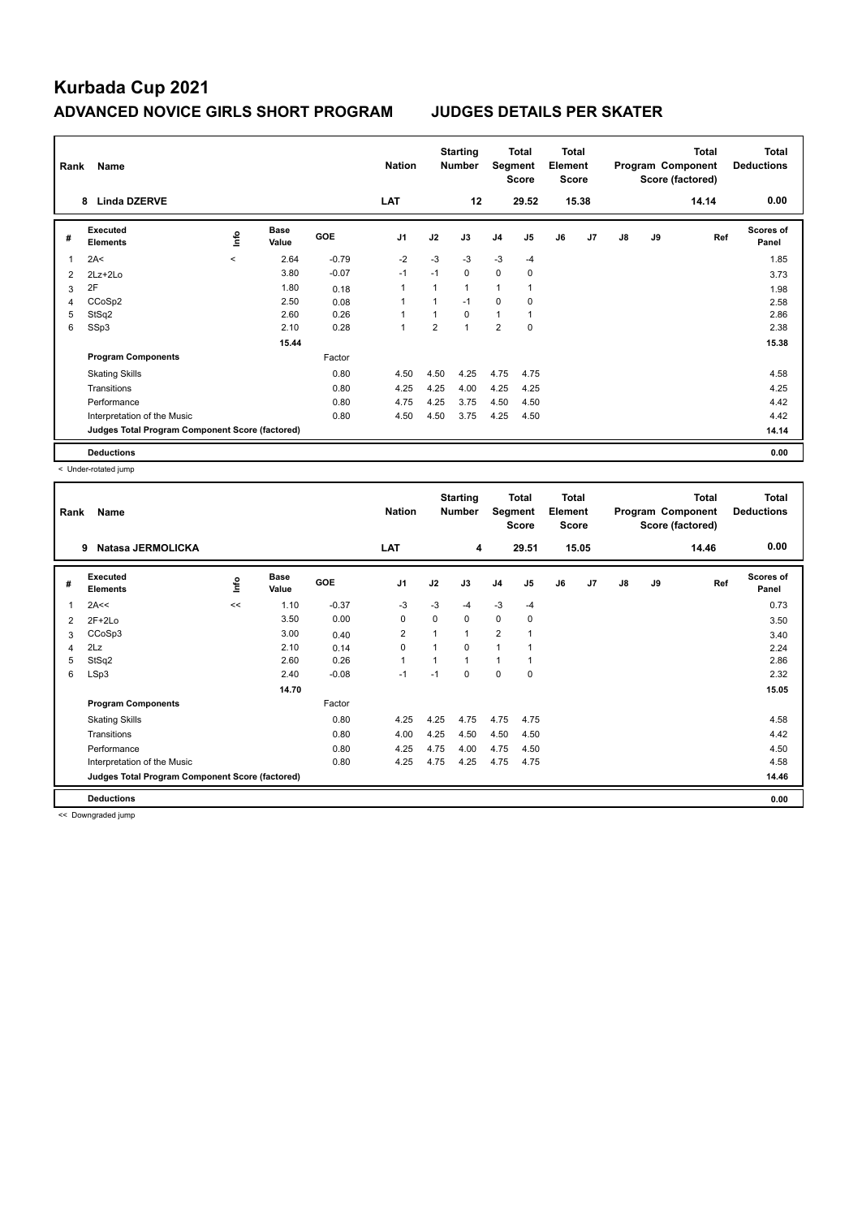| Rank | Name                                            |                |                      |         | <b>Nation</b>  |      | <b>Starting</b><br><b>Number</b> | Segment        | Total<br><b>Score</b> | <b>Total</b><br>Element<br><b>Score</b> |                |    |    | <b>Total</b><br>Program Component<br>Score (factored) | <b>Total</b><br><b>Deductions</b> |
|------|-------------------------------------------------|----------------|----------------------|---------|----------------|------|----------------------------------|----------------|-----------------------|-----------------------------------------|----------------|----|----|-------------------------------------------------------|-----------------------------------|
|      | <b>Linda DZERVE</b><br>8                        |                |                      |         | <b>LAT</b>     |      | 12                               |                | 29.52                 |                                         | 15.38          |    |    | 14.14                                                 | 0.00                              |
| #    | Executed<br><b>Elements</b>                     | $\frac{6}{10}$ | <b>Base</b><br>Value | GOE     | J <sub>1</sub> | J2   | J3                               | J <sub>4</sub> | J <sub>5</sub>        | J6                                      | J <sub>7</sub> | J8 | J9 | Ref                                                   | <b>Scores of</b><br>Panel         |
| 1    | 2A<                                             | $\prec$        | 2.64                 | $-0.79$ | $-2$           | $-3$ | $-3$                             | $-3$           | $-4$                  |                                         |                |    |    |                                                       | 1.85                              |
| 2    | $2Lz+2Lo$                                       |                | 3.80                 | $-0.07$ | $-1$           | $-1$ | 0                                | $\mathbf 0$    | 0                     |                                         |                |    |    |                                                       | 3.73                              |
| 3    | 2F                                              |                | 1.80                 | 0.18    | $\overline{1}$ |      | $\mathbf{1}$                     | 1              |                       |                                         |                |    |    |                                                       | 1.98                              |
| 4    | CCoSp2                                          |                | 2.50                 | 0.08    | 1              |      | $-1$                             | 0              | 0                     |                                         |                |    |    |                                                       | 2.58                              |
| 5    | StSq2                                           |                | 2.60                 | 0.26    | 1              |      | $\Omega$                         | $\mathbf{1}$   |                       |                                         |                |    |    |                                                       | 2.86                              |
| 6    | SSp3                                            |                | 2.10                 | 0.28    | 1              | 2    | $\overline{1}$                   | $\overline{2}$ | 0                     |                                         |                |    |    |                                                       | 2.38                              |
|      |                                                 |                | 15.44                |         |                |      |                                  |                |                       |                                         |                |    |    |                                                       | 15.38                             |
|      | <b>Program Components</b>                       |                |                      | Factor  |                |      |                                  |                |                       |                                         |                |    |    |                                                       |                                   |
|      | <b>Skating Skills</b>                           |                |                      | 0.80    | 4.50           | 4.50 | 4.25                             | 4.75           | 4.75                  |                                         |                |    |    |                                                       | 4.58                              |
|      | Transitions                                     |                |                      | 0.80    | 4.25           | 4.25 | 4.00                             | 4.25           | 4.25                  |                                         |                |    |    |                                                       | 4.25                              |
|      | Performance                                     |                |                      | 0.80    | 4.75           | 4.25 | 3.75                             | 4.50           | 4.50                  |                                         |                |    |    |                                                       | 4.42                              |
|      | Interpretation of the Music                     |                |                      | 0.80    | 4.50           | 4.50 | 3.75                             | 4.25           | 4.50                  |                                         |                |    |    |                                                       | 4.42                              |
|      | Judges Total Program Component Score (factored) |                |                      |         |                |      |                                  |                |                       |                                         |                |    |    |                                                       | 14.14                             |
|      | <b>Deductions</b>                               |                |                      |         |                |      |                                  |                |                       |                                         |                |    |    |                                                       | 0.00                              |

< Under-rotated jump

| Rank           | Name                                            |      |                      |         | <b>Nation</b>  |             | <b>Starting</b><br><b>Number</b> | Segment        | <b>Total</b><br><b>Score</b> | <b>Total</b><br>Element<br>Score |                |    |    | Total<br>Program Component<br>Score (factored) | <b>Total</b><br><b>Deductions</b> |
|----------------|-------------------------------------------------|------|----------------------|---------|----------------|-------------|----------------------------------|----------------|------------------------------|----------------------------------|----------------|----|----|------------------------------------------------|-----------------------------------|
|                | Natasa JERMOLICKA<br>9                          |      |                      |         | LAT            |             | 4                                |                | 29.51                        |                                  | 15.05          |    |    | 14.46                                          | 0.00                              |
| #              | Executed<br><b>Elements</b>                     | lnfo | <b>Base</b><br>Value | GOE     | J <sub>1</sub> | J2          | J3                               | J <sub>4</sub> | J <sub>5</sub>               | J6                               | J <sub>7</sub> | J8 | J9 | Ref                                            | <b>Scores of</b><br>Panel         |
| $\mathbf{1}$   | 2A<<                                            | <<   | 1.10                 | $-0.37$ | -3             | $-3$        | $-4$                             | $-3$           | $-4$                         |                                  |                |    |    |                                                | 0.73                              |
| $\overline{2}$ | $2F+2Lo$                                        |      | 3.50                 | 0.00    | 0              | $\mathbf 0$ | $\mathbf 0$                      | $\mathbf 0$    | 0                            |                                  |                |    |    |                                                | 3.50                              |
| 3              | CCoSp3                                          |      | 3.00                 | 0.40    | 2              |             | $\mathbf{1}$                     | $\overline{2}$ |                              |                                  |                |    |    |                                                | 3.40                              |
| 4              | 2Lz                                             |      | 2.10                 | 0.14    | 0              |             | $\Omega$                         | 1              |                              |                                  |                |    |    |                                                | 2.24                              |
| 5              | StSq2                                           |      | 2.60                 | 0.26    | 1              |             | $\mathbf{1}$                     | $\mathbf{1}$   |                              |                                  |                |    |    |                                                | 2.86                              |
| 6              | LSp3                                            |      | 2.40                 | $-0.08$ | $-1$           | $-1$        | $\Omega$                         | 0              | $\mathbf 0$                  |                                  |                |    |    |                                                | 2.32                              |
|                |                                                 |      | 14.70                |         |                |             |                                  |                |                              |                                  |                |    |    |                                                | 15.05                             |
|                | <b>Program Components</b>                       |      |                      | Factor  |                |             |                                  |                |                              |                                  |                |    |    |                                                |                                   |
|                | <b>Skating Skills</b>                           |      |                      | 0.80    | 4.25           | 4.25        | 4.75                             | 4.75           | 4.75                         |                                  |                |    |    |                                                | 4.58                              |
|                | Transitions                                     |      |                      | 0.80    | 4.00           | 4.25        | 4.50                             | 4.50           | 4.50                         |                                  |                |    |    |                                                | 4.42                              |
|                | Performance                                     |      |                      | 0.80    | 4.25           | 4.75        | 4.00                             | 4.75           | 4.50                         |                                  |                |    |    |                                                | 4.50                              |
|                | Interpretation of the Music                     |      |                      | 0.80    | 4.25           | 4.75        | 4.25                             | 4.75           | 4.75                         |                                  |                |    |    |                                                | 4.58                              |
|                | Judges Total Program Component Score (factored) |      |                      |         |                |             |                                  |                |                              |                                  |                |    |    |                                                | 14.46                             |
|                | <b>Deductions</b>                               |      |                      |         |                |             |                                  |                |                              |                                  |                |    |    |                                                | 0.00                              |

<< Downgraded jump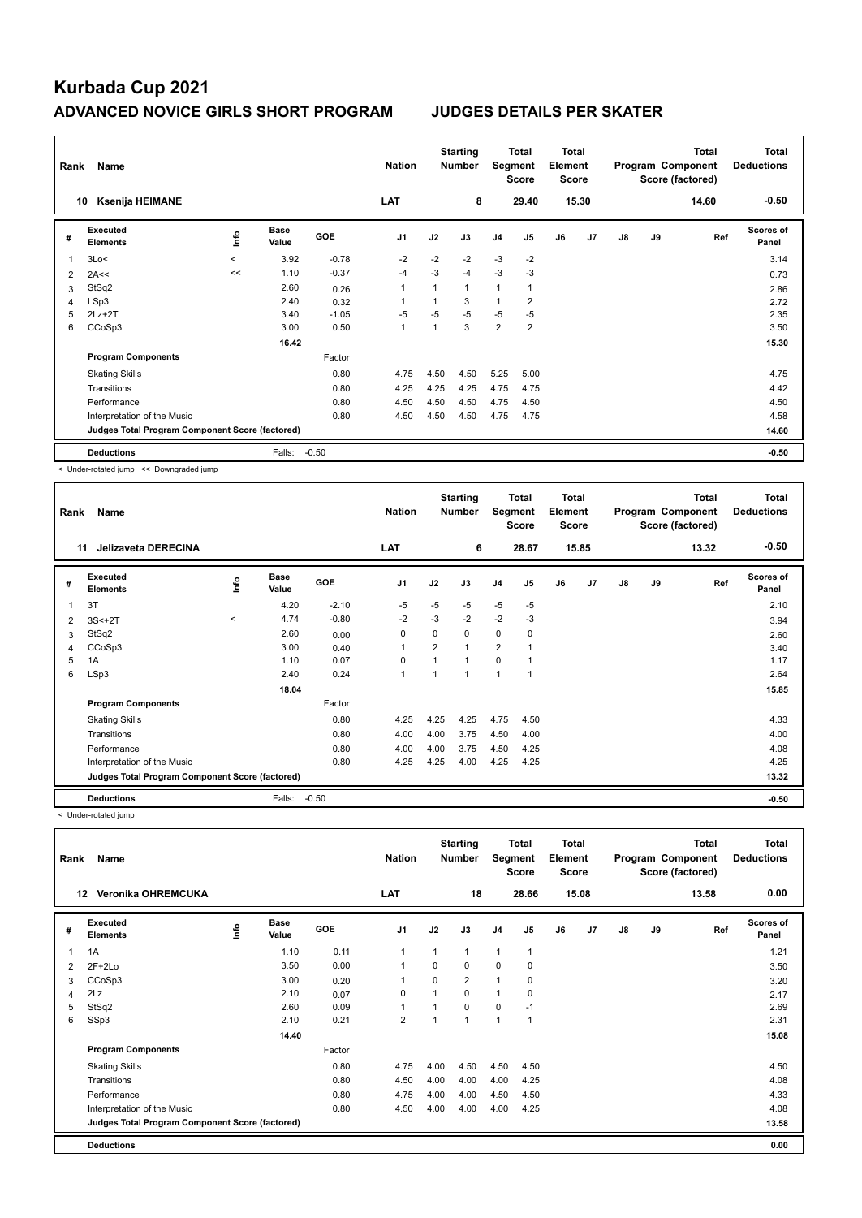| Rank | Name                                            |         |                      |            | <b>Nation</b>  |      | <b>Starting</b><br><b>Number</b> | Segment        | Total<br><b>Score</b> | <b>Total</b><br>Element<br><b>Score</b> |       |    |    | <b>Total</b><br>Program Component<br>Score (factored) | <b>Total</b><br><b>Deductions</b> |
|------|-------------------------------------------------|---------|----------------------|------------|----------------|------|----------------------------------|----------------|-----------------------|-----------------------------------------|-------|----|----|-------------------------------------------------------|-----------------------------------|
|      | <b>Ksenija HEIMANE</b><br>10                    |         |                      |            | <b>LAT</b>     |      | 8                                |                | 29.40                 |                                         | 15.30 |    |    | 14.60                                                 | $-0.50$                           |
| #    | <b>Executed</b><br><b>Elements</b>              | ۴ů      | <b>Base</b><br>Value | <b>GOE</b> | J <sub>1</sub> | J2   | J3                               | J <sub>4</sub> | J <sub>5</sub>        | J6                                      | J7    | J8 | J9 | Ref                                                   | <b>Scores of</b><br>Panel         |
| 1    | 3Lo<                                            | $\prec$ | 3.92                 | $-0.78$    | $-2$           | $-2$ | $-2$                             | $-3$           | $-2$                  |                                         |       |    |    |                                                       | 3.14                              |
| 2    | 2A<<                                            | <<      | 1.10                 | $-0.37$    | $-4$           | $-3$ | $-4$                             | $-3$           | $-3$                  |                                         |       |    |    |                                                       | 0.73                              |
| 3    | StSq2                                           |         | 2.60                 | 0.26       | 1              | 1    | 1                                | 1              |                       |                                         |       |    |    |                                                       | 2.86                              |
| 4    | LSp3                                            |         | 2.40                 | 0.32       | 1              |      | 3                                | 1              | $\overline{2}$        |                                         |       |    |    |                                                       | 2.72                              |
| 5    | $2Lz+2T$                                        |         | 3.40                 | $-1.05$    | $-5$           | $-5$ | $-5$                             | $-5$           | $-5$                  |                                         |       |    |    |                                                       | 2.35                              |
| 6    | CCoSp3                                          |         | 3.00                 | 0.50       | $\overline{1}$ | 1    | 3                                | $\overline{2}$ | $\overline{2}$        |                                         |       |    |    |                                                       | 3.50                              |
|      |                                                 |         | 16.42                |            |                |      |                                  |                |                       |                                         |       |    |    |                                                       | 15.30                             |
|      | <b>Program Components</b>                       |         |                      | Factor     |                |      |                                  |                |                       |                                         |       |    |    |                                                       |                                   |
|      | <b>Skating Skills</b>                           |         |                      | 0.80       | 4.75           | 4.50 | 4.50                             | 5.25           | 5.00                  |                                         |       |    |    |                                                       | 4.75                              |
|      | Transitions                                     |         |                      | 0.80       | 4.25           | 4.25 | 4.25                             | 4.75           | 4.75                  |                                         |       |    |    |                                                       | 4.42                              |
|      | Performance                                     |         |                      | 0.80       | 4.50           | 4.50 | 4.50                             | 4.75           | 4.50                  |                                         |       |    |    |                                                       | 4.50                              |
|      | Interpretation of the Music                     |         |                      | 0.80       | 4.50           | 4.50 | 4.50                             | 4.75           | 4.75                  |                                         |       |    |    |                                                       | 4.58                              |
|      | Judges Total Program Component Score (factored) |         |                      |            |                |      |                                  |                |                       |                                         |       |    |    |                                                       | 14.60                             |
|      | <b>Deductions</b>                               |         | Falls:               | $-0.50$    |                |      |                                  |                |                       |                                         |       |    |    |                                                       | $-0.50$                           |

< Under-rotated jump << Downgraded jump

| Rank | Name                                            |         |                      |         | <b>Nation</b>  |                | <b>Starting</b><br><b>Number</b> | Segment        | <b>Total</b><br><b>Score</b> | <b>Total</b><br>Element<br><b>Score</b> |                |    |    | <b>Total</b><br>Program Component<br>Score (factored) | <b>Total</b><br><b>Deductions</b> |
|------|-------------------------------------------------|---------|----------------------|---------|----------------|----------------|----------------------------------|----------------|------------------------------|-----------------------------------------|----------------|----|----|-------------------------------------------------------|-----------------------------------|
|      | <b>Jelizaveta DERECINA</b><br>11                |         |                      |         | LAT            |                | 6                                |                | 28.67                        |                                         | 15.85          |    |    | 13.32                                                 | $-0.50$                           |
| #    | Executed<br><b>Elements</b>                     | lnfo    | <b>Base</b><br>Value | GOE     | J <sub>1</sub> | J2             | J3                               | J <sub>4</sub> | J <sub>5</sub>               | J6                                      | J <sub>7</sub> | J8 | J9 | Ref                                                   | Scores of<br>Panel                |
|      | 3T                                              |         | 4.20                 | $-2.10$ | -5             | $-5$           | $-5$                             | $-5$           | $-5$                         |                                         |                |    |    |                                                       | 2.10                              |
| 2    | $3S<+2T$                                        | $\prec$ | 4.74                 | $-0.80$ | $-2$           | $-3$           | $-2$                             | $-2$           | $-3$                         |                                         |                |    |    |                                                       | 3.94                              |
| 3    | StSq2                                           |         | 2.60                 | 0.00    | 0              | $\Omega$       | 0                                | $\mathbf 0$    | 0                            |                                         |                |    |    |                                                       | 2.60                              |
| 4    | CCoSp3                                          |         | 3.00                 | 0.40    | 1              | $\overline{2}$ | $\mathbf{1}$                     | $\overline{2}$ | $\overline{1}$               |                                         |                |    |    |                                                       | 3.40                              |
| 5    | 1A                                              |         | 1.10                 | 0.07    | 0              |                | 1                                | $\Omega$       | 1                            |                                         |                |    |    |                                                       | 1.17                              |
| 6    | LSp3                                            |         | 2.40                 | 0.24    | $\mathbf{1}$   |                | 1                                | $\overline{1}$ | $\overline{1}$               |                                         |                |    |    |                                                       | 2.64                              |
|      |                                                 |         | 18.04                |         |                |                |                                  |                |                              |                                         |                |    |    |                                                       | 15.85                             |
|      | <b>Program Components</b>                       |         |                      | Factor  |                |                |                                  |                |                              |                                         |                |    |    |                                                       |                                   |
|      | <b>Skating Skills</b>                           |         |                      | 0.80    | 4.25           | 4.25           | 4.25                             | 4.75           | 4.50                         |                                         |                |    |    |                                                       | 4.33                              |
|      | Transitions                                     |         |                      | 0.80    | 4.00           | 4.00           | 3.75                             | 4.50           | 4.00                         |                                         |                |    |    |                                                       | 4.00                              |
|      | Performance                                     |         |                      | 0.80    | 4.00           | 4.00           | 3.75                             | 4.50           | 4.25                         |                                         |                |    |    |                                                       | 4.08                              |
|      | Interpretation of the Music                     |         |                      | 0.80    | 4.25           | 4.25           | 4.00                             | 4.25           | 4.25                         |                                         |                |    |    |                                                       | 4.25                              |
|      | Judges Total Program Component Score (factored) |         |                      |         |                |                |                                  |                |                              |                                         |                |    |    |                                                       | 13.32                             |
|      | <b>Deductions</b>                               |         | Falls:               | $-0.50$ |                |                |                                  |                |                              |                                         |                |    |    |                                                       | $-0.50$                           |

< Under-rotated jump

| Rank | Name                                            |      |                      |        | <b>Nation</b>  |                | <b>Starting</b><br><b>Number</b> | Segment        | <b>Total</b><br><b>Score</b> | <b>Total</b><br>Element<br><b>Score</b> |       |    |    | <b>Total</b><br>Program Component<br>Score (factored) | Total<br><b>Deductions</b> |
|------|-------------------------------------------------|------|----------------------|--------|----------------|----------------|----------------------------------|----------------|------------------------------|-----------------------------------------|-------|----|----|-------------------------------------------------------|----------------------------|
|      | Veronika OHREMCUKA<br>12                        |      |                      |        | LAT            |                | 18                               |                | 28.66                        |                                         | 15.08 |    |    | 13.58                                                 | 0.00                       |
| #    | Executed<br><b>Elements</b>                     | lnfo | <b>Base</b><br>Value | GOE    | J <sub>1</sub> | J2             | J3                               | J <sub>4</sub> | J <sub>5</sub>               | J6                                      | J7    | J8 | J9 | Ref                                                   | <b>Scores of</b><br>Panel  |
| 1    | 1A                                              |      | 1.10                 | 0.11   | $\mathbf{1}$   | 1              | 1                                | $\mathbf{1}$   | 1                            |                                         |       |    |    |                                                       | 1.21                       |
| 2    | $2F+2Lo$                                        |      | 3.50                 | 0.00   | 1              | $\Omega$       | $\Omega$                         | 0              | 0                            |                                         |       |    |    |                                                       | 3.50                       |
| 3    | CCoSp3                                          |      | 3.00                 | 0.20   | -1             | $\Omega$       | $\overline{2}$                   | $\overline{1}$ | 0                            |                                         |       |    |    |                                                       | 3.20                       |
| 4    | 2Lz                                             |      | 2.10                 | 0.07   | 0              | $\overline{1}$ | 0                                | $\overline{1}$ | 0                            |                                         |       |    |    |                                                       | 2.17                       |
| 5    | StSq2                                           |      | 2.60                 | 0.09   | $\mathbf{1}$   | 1              | 0                                | 0              | $-1$                         |                                         |       |    |    |                                                       | 2.69                       |
| 6    | SSp3                                            |      | 2.10                 | 0.21   | $\overline{2}$ | 1              | 1                                | $\mathbf{1}$   | 1                            |                                         |       |    |    |                                                       | 2.31                       |
|      |                                                 |      | 14.40                |        |                |                |                                  |                |                              |                                         |       |    |    |                                                       | 15.08                      |
|      | <b>Program Components</b>                       |      |                      | Factor |                |                |                                  |                |                              |                                         |       |    |    |                                                       |                            |
|      | <b>Skating Skills</b>                           |      |                      | 0.80   | 4.75           | 4.00           | 4.50                             | 4.50           | 4.50                         |                                         |       |    |    |                                                       | 4.50                       |
|      | Transitions                                     |      |                      | 0.80   | 4.50           | 4.00           | 4.00                             | 4.00           | 4.25                         |                                         |       |    |    |                                                       | 4.08                       |
|      | Performance                                     |      |                      | 0.80   | 4.75           | 4.00           | 4.00                             | 4.50           | 4.50                         |                                         |       |    |    |                                                       | 4.33                       |
|      | Interpretation of the Music                     |      |                      | 0.80   | 4.50           | 4.00           | 4.00                             | 4.00           | 4.25                         |                                         |       |    |    |                                                       | 4.08                       |
|      | Judges Total Program Component Score (factored) |      |                      |        |                |                |                                  |                |                              |                                         |       |    |    |                                                       | 13.58                      |
|      | <b>Deductions</b>                               |      |                      |        |                |                |                                  |                |                              |                                         |       |    |    |                                                       | 0.00                       |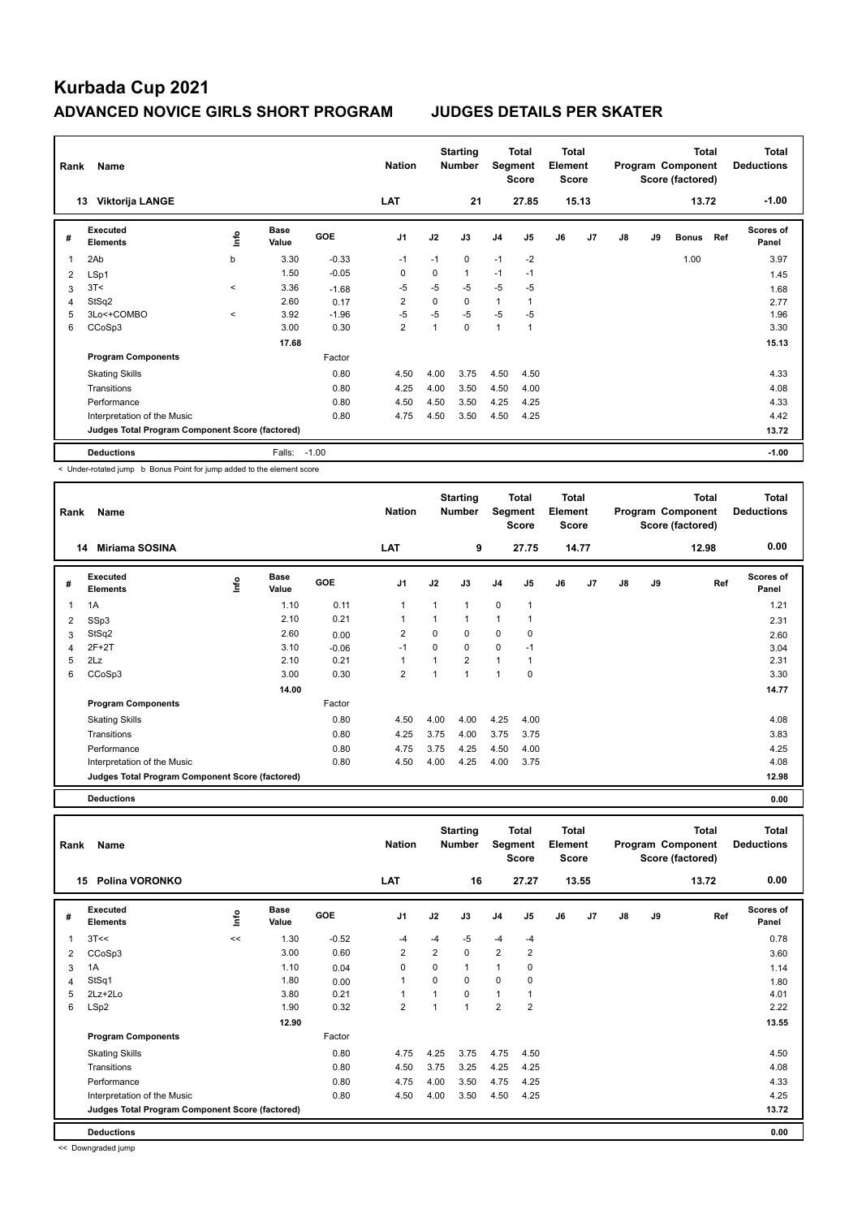| Rank | Name                                            |              |                      |            | <b>Nation</b>           |      | <b>Starting</b><br><b>Number</b> | Segment        | Total<br><b>Score</b> | <b>Total</b><br>Element<br><b>Score</b> |       |    |    | <b>Total</b><br>Program Component<br>Score (factored) |     | Total<br><b>Deductions</b> |
|------|-------------------------------------------------|--------------|----------------------|------------|-------------------------|------|----------------------------------|----------------|-----------------------|-----------------------------------------|-------|----|----|-------------------------------------------------------|-----|----------------------------|
|      | Viktorija LANGE<br>13                           |              |                      |            | LAT                     |      | 21                               |                | 27.85                 |                                         | 15.13 |    |    | 13.72                                                 |     | $-1.00$                    |
| #    | <b>Executed</b><br><b>Elements</b>              | ۴ů           | <b>Base</b><br>Value | <b>GOE</b> | J <sub>1</sub>          | J2   | J3                               | J <sub>4</sub> | J <sub>5</sub>        | J6                                      | J7    | J8 | J9 | <b>Bonus</b>                                          | Ref | <b>Scores of</b><br>Panel  |
|      | 2Ab                                             | b            | 3.30                 | $-0.33$    | -1                      | $-1$ | 0                                | $-1$           | $-2$                  |                                         |       |    |    | 1.00                                                  |     | 3.97                       |
| 2    | LSp1                                            |              | 1.50                 | $-0.05$    | 0                       | 0    | $\mathbf{1}$                     | $-1$           | $-1$                  |                                         |       |    |    |                                                       |     | 1.45                       |
| 3    | 3T<                                             | $\prec$      | 3.36                 | $-1.68$    | $-5$                    | -5   | $-5$                             | $-5$           | -5                    |                                         |       |    |    |                                                       |     | 1.68                       |
| 4    | StSq2                                           |              | 2.60                 | 0.17       | 2                       | 0    | 0                                | 1              |                       |                                         |       |    |    |                                                       |     | 2.77                       |
| 5    | 3Lo<+COMBO                                      | $\checkmark$ | 3.92                 | $-1.96$    | $-5$                    | $-5$ | $-5$                             | $-5$           | -5                    |                                         |       |    |    |                                                       |     | 1.96                       |
| 6    | CCoSp3                                          |              | 3.00                 | 0.30       | $\overline{\mathbf{c}}$ | 1    | 0                                | 1              |                       |                                         |       |    |    |                                                       |     | 3.30                       |
|      |                                                 |              | 17.68                |            |                         |      |                                  |                |                       |                                         |       |    |    |                                                       |     | 15.13                      |
|      | <b>Program Components</b>                       |              |                      | Factor     |                         |      |                                  |                |                       |                                         |       |    |    |                                                       |     |                            |
|      | <b>Skating Skills</b>                           |              |                      | 0.80       | 4.50                    | 4.00 | 3.75                             | 4.50           | 4.50                  |                                         |       |    |    |                                                       |     | 4.33                       |
|      | Transitions                                     |              |                      | 0.80       | 4.25                    | 4.00 | 3.50                             | 4.50           | 4.00                  |                                         |       |    |    |                                                       |     | 4.08                       |
|      | Performance                                     |              |                      | 0.80       | 4.50                    | 4.50 | 3.50                             | 4.25           | 4.25                  |                                         |       |    |    |                                                       |     | 4.33                       |
|      | Interpretation of the Music                     |              |                      | 0.80       | 4.75                    | 4.50 | 3.50                             | 4.50           | 4.25                  |                                         |       |    |    |                                                       |     | 4.42                       |
|      | Judges Total Program Component Score (factored) |              |                      |            |                         |      |                                  |                |                       |                                         |       |    |    |                                                       |     | 13.72                      |
|      | <b>Deductions</b>                               |              | Falls:               | $-1.00$    |                         |      |                                  |                |                       |                                         |       |    |    |                                                       |     | $-1.00$                    |

< Under-rotated jump b Bonus Point for jump added to the element score

| Rank | Name                                            |      |                      |            | <b>Nation</b>  |          | <b>Starting</b><br><b>Number</b> | Segment        | <b>Total</b><br><b>Score</b> | Total<br>Element<br><b>Score</b> |       |               |    | <b>Total</b><br>Program Component<br>Score (factored) | Total<br><b>Deductions</b> |
|------|-------------------------------------------------|------|----------------------|------------|----------------|----------|----------------------------------|----------------|------------------------------|----------------------------------|-------|---------------|----|-------------------------------------------------------|----------------------------|
|      | <b>Miriama SOSINA</b><br>14                     |      |                      |            | <b>LAT</b>     |          | 9                                |                | 27.75                        |                                  | 14.77 |               |    | 12.98                                                 | 0.00                       |
| #    | Executed<br><b>Elements</b>                     | lnfo | <b>Base</b><br>Value | <b>GOE</b> | J <sub>1</sub> | J2       | J3                               | J <sub>4</sub> | J <sub>5</sub>               | J6                               | J7    | $\mathsf{J}8$ | J9 | Ref                                                   | <b>Scores of</b><br>Panel  |
| 1    | 1A                                              |      | 1.10                 | 0.11       | $\overline{1}$ |          | $\overline{ }$                   | $\mathbf 0$    | $\overline{1}$               |                                  |       |               |    |                                                       | 1.21                       |
| 2    | SSp3                                            |      | 2.10                 | 0.21       | $\overline{1}$ |          | 1                                | 1              | 1                            |                                  |       |               |    |                                                       | 2.31                       |
| 3    | StSq2                                           |      | 2.60                 | 0.00       | $\overline{2}$ | $\Omega$ | $\Omega$                         | 0              | 0                            |                                  |       |               |    |                                                       | 2.60                       |
| 4    | $2F+2T$                                         |      | 3.10                 | $-0.06$    | $-1$           | 0        | $\Omega$                         | 0              | $-1$                         |                                  |       |               |    |                                                       | 3.04                       |
| 5    | 2Lz                                             |      | 2.10                 | 0.21       | $\overline{1}$ |          | $\overline{2}$                   | $\mathbf{1}$   |                              |                                  |       |               |    |                                                       | 2.31                       |
| 6    | CCoSp3                                          |      | 3.00                 | 0.30       | $\overline{2}$ |          | 1                                | 1              | 0                            |                                  |       |               |    |                                                       | 3.30                       |
|      |                                                 |      | 14.00                |            |                |          |                                  |                |                              |                                  |       |               |    |                                                       | 14.77                      |
|      | <b>Program Components</b>                       |      |                      | Factor     |                |          |                                  |                |                              |                                  |       |               |    |                                                       |                            |
|      | <b>Skating Skills</b>                           |      |                      | 0.80       | 4.50           | 4.00     | 4.00                             | 4.25           | 4.00                         |                                  |       |               |    |                                                       | 4.08                       |
|      | Transitions                                     |      |                      | 0.80       | 4.25           | 3.75     | 4.00                             | 3.75           | 3.75                         |                                  |       |               |    |                                                       | 3.83                       |
|      | Performance                                     |      |                      | 0.80       | 4.75           | 3.75     | 4.25                             | 4.50           | 4.00                         |                                  |       |               |    |                                                       | 4.25                       |
|      | Interpretation of the Music                     |      |                      | 0.80       | 4.50           | 4.00     | 4.25                             | 4.00           | 3.75                         |                                  |       |               |    |                                                       | 4.08                       |
|      | Judges Total Program Component Score (factored) |      |                      |            |                |          |                                  |                |                              |                                  |       |               |    |                                                       | 12.98                      |

**Deductions 0.00 Total Deductions Total Program Component Score (factored) Total Element Score Total Segment Score Starting Rank Name Nation Number # Executed Elements Base Value GOE J1 J2 J3 J4 J5 J6 J7 J8 J9 Scores of Panel** 1 1.30 -0.52 -4 -4 -5 -4 -4 **Ref**  3T<< << 0.78 **Info 15 Polina VORONKO LAT 16 27.27 13.55 13.72 0.00** 2 CCoSp3 3.00 0.60 2 2 0 2 2 3.60  $3$  1A 1.10 0.04 0 0 1 1 0 1.14 4 StSq1 1.80 0.00 1 0 0 0 0 1.80 5 2Lz+2Lo 3.80 0.21 1 1 0 1 1 4.01 6 LSp2 1.90 0.32 2 1 1 2 2 2.22  **12.90** 13.55 **Program Components**  Skating Skills **4.75 a.10** 4.75 4.75 4.75 4.75 4.50 Factor 0.80 4.50 Transitions 0.80 4.50 3.75 3.25 4.25 4.25 4.08 Performance 0.80 4.75 4.00 3.50 4.75 4.25 4.33 Interpretation of the Music 0.80 4.50 4.00 3.50 4.50 4.25 4.25 **Deductions 0.00 Judges Total Program Component Score (factored) 13.72**

<< Downgraded jump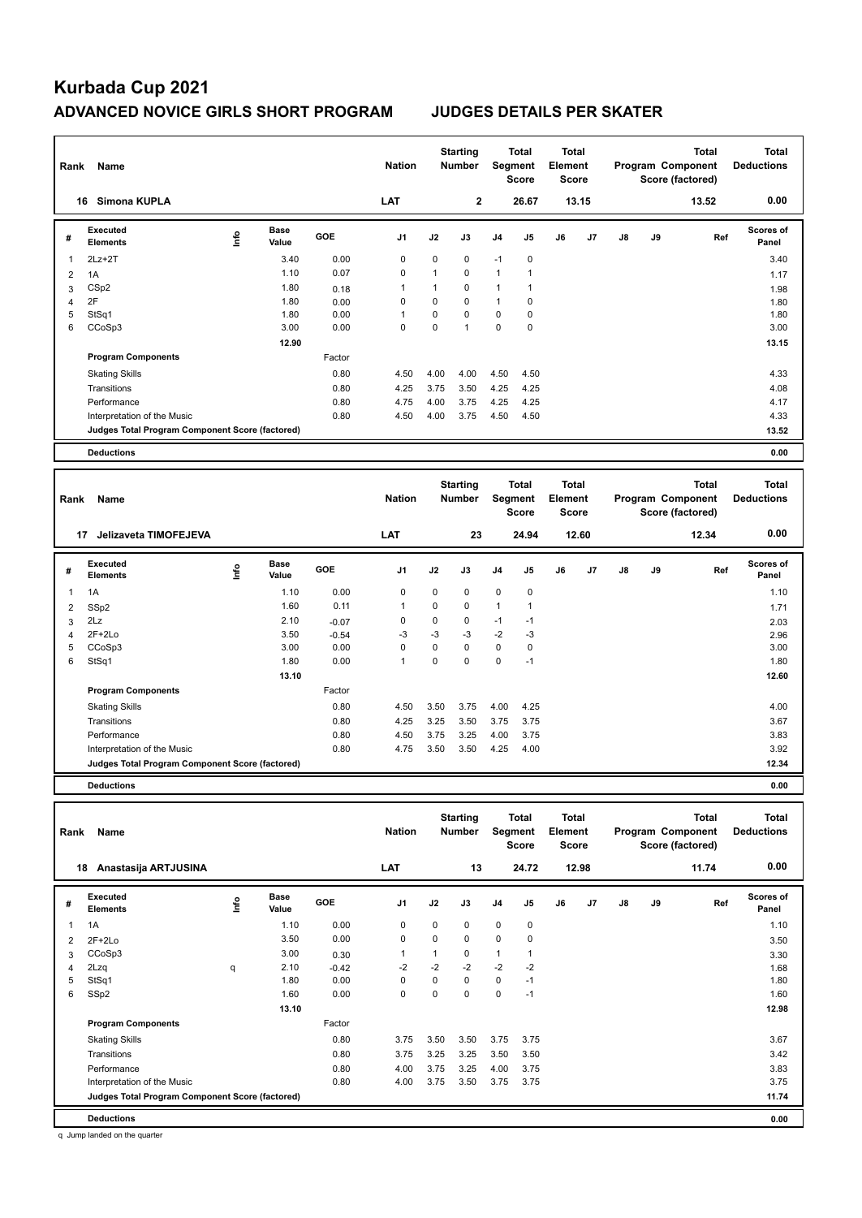Factor

Interpretation of the Music 0.80 4.75 3.50 3.50 4.25 4.00

| Rank | Name                                            |      |                      |            | <b>Nation</b>  |              | <b>Starting</b><br><b>Number</b> |                | <b>Total</b><br>Segment<br><b>Score</b> | <b>Total</b><br>Element<br>Score        |                |               |    | <b>Total</b><br>Program Component<br>Score (factored) | <b>Total</b><br><b>Deductions</b> |
|------|-------------------------------------------------|------|----------------------|------------|----------------|--------------|----------------------------------|----------------|-----------------------------------------|-----------------------------------------|----------------|---------------|----|-------------------------------------------------------|-----------------------------------|
|      | Simona KUPLA<br>16                              |      |                      |            | LAT            |              | $\overline{2}$                   |                | 26.67                                   |                                         | 13.15          |               |    | 13.52                                                 | 0.00                              |
| #    | <b>Executed</b><br><b>Elements</b>              | ١nfo | <b>Base</b><br>Value | GOE        | J <sub>1</sub> | J2           | J3                               | J <sub>4</sub> | J5                                      | J6                                      | J <sub>7</sub> | $\mathsf{J}8$ | J9 | Ref                                                   | Scores of<br>Panel                |
| 1    | $2Lz + 2T$                                      |      | 3.40                 | 0.00       | 0              | 0            | 0                                | $-1$           | $\pmb{0}$                               |                                         |                |               |    |                                                       | 3.40                              |
| 2    | 1A                                              |      | 1.10                 | 0.07       | $\mathbf 0$    | $\mathbf{1}$ | $\mathbf 0$                      | $\mathbf{1}$   | $\mathbf{1}$                            |                                         |                |               |    |                                                       | 1.17                              |
| 3    | CSp2                                            |      | 1.80                 | 0.18       | 1              | 1            | 0                                | $\mathbf{1}$   | $\mathbf{1}$                            |                                         |                |               |    |                                                       | 1.98                              |
| 4    | 2F                                              |      | 1.80                 | 0.00       | 0              | $\mathbf 0$  | $\mathbf 0$                      | $\mathbf{1}$   | 0                                       |                                         |                |               |    |                                                       | 1.80                              |
| 5    | StSq1                                           |      | 1.80                 | 0.00       | 1              | 0            | $\Omega$                         | $\Omega$       | 0                                       |                                         |                |               |    |                                                       | 1.80                              |
| 6    | CCoSp3                                          |      | 3.00                 | 0.00       | 0              | 0            | $\mathbf{1}$                     | 0              | 0                                       |                                         |                |               |    |                                                       | 3.00                              |
|      |                                                 |      | 12.90                |            |                |              |                                  |                |                                         |                                         |                |               |    |                                                       | 13.15                             |
|      | <b>Program Components</b>                       |      |                      | Factor     |                |              |                                  |                |                                         |                                         |                |               |    |                                                       |                                   |
|      | <b>Skating Skills</b>                           |      |                      | 0.80       | 4.50           | 4.00         | 4.00                             | 4.50           | 4.50                                    |                                         |                |               |    |                                                       | 4.33                              |
|      | Transitions                                     |      |                      | 0.80       | 4.25           | 3.75         | 3.50                             | 4.25           | 4.25                                    |                                         |                |               |    |                                                       | 4.08                              |
|      | Performance                                     |      |                      | 0.80       | 4.75           | 4.00         | 3.75                             | 4.25           | 4.25                                    |                                         |                |               |    |                                                       | 4.17                              |
|      | Interpretation of the Music                     |      |                      | 0.80       | 4.50           | 4.00         | 3.75                             | 4.50           | 4.50                                    |                                         |                |               |    |                                                       | 4.33                              |
|      | Judges Total Program Component Score (factored) |      |                      |            |                |              |                                  |                |                                         |                                         |                |               |    |                                                       | 13.52                             |
|      | <b>Deductions</b>                               |      |                      |            |                |              |                                  |                |                                         |                                         |                |               |    |                                                       | 0.00                              |
|      |                                                 |      |                      |            |                |              |                                  |                |                                         |                                         |                |               |    |                                                       |                                   |
| Rank | Name                                            |      |                      |            | <b>Nation</b>  |              | <b>Starting</b><br><b>Number</b> |                | <b>Total</b><br>Segment<br><b>Score</b> | <b>Total</b><br>Element<br><b>Score</b> |                |               |    | <b>Total</b><br>Program Component<br>Score (factored) | <b>Total</b><br><b>Deductions</b> |
|      | Jelizaveta TIMOFEJEVA<br>17                     |      |                      |            | LAT            |              | 23                               |                | 24.94                                   |                                         | 12.60          |               |    | 12.34                                                 | 0.00                              |
| #    | Executed<br><b>Elements</b>                     | ١nf٥ | <b>Base</b><br>Value | <b>GOE</b> | J <sub>1</sub> | J2           | J3                               | J <sub>4</sub> | J5                                      | J6                                      | J7             | J8            | J9 | Ref                                                   | Scores of<br>Panel                |
| 1    | 1A                                              |      | 1.10                 | 0.00       | 0              | 0            | $\mathbf 0$                      | 0              | 0                                       |                                         |                |               |    |                                                       | 1.10                              |

 SSp2 1.60 0.11 1 0 0 1 1 1.71 2Lz  $2.10$   $-0.07$   $0$   $0$   $0$   $-1$   $-1$   $2.03$  2F+2Lo 3.50 -0.54 -3 -3 -3 -2 -3 2.96 CCoSp3 3.00 0.00 0 0 0 0 0 3.00 StSq1 1.80 0.00 1 0 0 0 -1 1.80

Skating Skills 4.50 3.50 3.75 4.00 4.25 0.80 4.00

Transitions 0.80 4.25 3.25 3.50 3.75 3.75 3.67 Performance 1.80 1.80 4.50 3.75 3.25 4.00 3.75 3.25 4.00 3.75 3.83 Anterpretation of the Music 3.83 4.00 4.75 3.50 4.25 4.00 3.92

**Judges Total Program Component Score (factored) 12.34**

 **13.10 12.60**

**Deductions 0.00**

**Program Components** 

| Rank | Name                                            |             |                      |         | <b>Nation</b>  |      | <b>Starting</b><br><b>Number</b> | Segment        | Total<br><b>Score</b> | <b>Total</b><br>Element<br><b>Score</b> |       |               |    | <b>Total</b><br>Program Component<br>Score (factored) | <b>Total</b><br><b>Deductions</b> |
|------|-------------------------------------------------|-------------|----------------------|---------|----------------|------|----------------------------------|----------------|-----------------------|-----------------------------------------|-------|---------------|----|-------------------------------------------------------|-----------------------------------|
| 18   | Anastasija ARTJUSINA                            |             |                      |         | <b>LAT</b>     |      | 13                               |                | 24.72                 |                                         | 12.98 |               |    | 11.74                                                 | 0.00                              |
| #    | Executed<br><b>Elements</b>                     | <b>Info</b> | <b>Base</b><br>Value | GOE     | J <sub>1</sub> | J2   | J3                               | J <sub>4</sub> | J <sub>5</sub>        | J6                                      | J7    | $\mathsf{J}8$ | J9 | Ref                                                   | Scores of<br>Panel                |
| 1    | 1A                                              |             | 1.10                 | 0.00    | 0              | 0    | 0                                | 0              | 0                     |                                         |       |               |    |                                                       | 1.10                              |
| 2    | $2F+2Lo$                                        |             | 3.50                 | 0.00    | 0              | 0    | 0                                | 0              | 0                     |                                         |       |               |    |                                                       | 3.50                              |
| 3    | CCoSp3                                          |             | 3.00                 | 0.30    |                | 1    | 0                                | $\mathbf{1}$   |                       |                                         |       |               |    |                                                       | 3.30                              |
| 4    | 2Lzq                                            | q           | 2.10                 | $-0.42$ | $-2$           | $-2$ | $-2$                             | $-2$           | $-2$                  |                                         |       |               |    |                                                       | 1.68                              |
| 5    | StSq1                                           |             | 1.80                 | 0.00    | 0              | 0    | 0                                | 0              | $-1$                  |                                         |       |               |    |                                                       | 1.80                              |
| 6    | SSp2                                            |             | 1.60                 | 0.00    | $\mathbf 0$    | 0    | 0                                | $\mathbf 0$    | $-1$                  |                                         |       |               |    |                                                       | 1.60                              |
|      |                                                 |             | 13.10                |         |                |      |                                  |                |                       |                                         |       |               |    |                                                       | 12.98                             |
|      | <b>Program Components</b>                       |             |                      | Factor  |                |      |                                  |                |                       |                                         |       |               |    |                                                       |                                   |
|      | <b>Skating Skills</b>                           |             |                      | 0.80    | 3.75           | 3.50 | 3.50                             | 3.75           | 3.75                  |                                         |       |               |    |                                                       | 3.67                              |
|      | Transitions                                     |             |                      | 0.80    | 3.75           | 3.25 | 3.25                             | 3.50           | 3.50                  |                                         |       |               |    |                                                       | 3.42                              |
|      | Performance                                     |             |                      | 0.80    | 4.00           | 3.75 | 3.25                             | 4.00           | 3.75                  |                                         |       |               |    |                                                       | 3.83                              |
|      | Interpretation of the Music                     |             |                      | 0.80    | 4.00           | 3.75 | 3.50                             | 3.75           | 3.75                  |                                         |       |               |    |                                                       | 3.75                              |
|      | Judges Total Program Component Score (factored) |             |                      |         |                |      |                                  |                |                       |                                         |       |               |    |                                                       | 11.74                             |
|      | <b>Deductions</b>                               |             |                      |         |                |      |                                  |                |                       |                                         |       |               |    |                                                       | 0.00                              |

q Jump landed on the quarter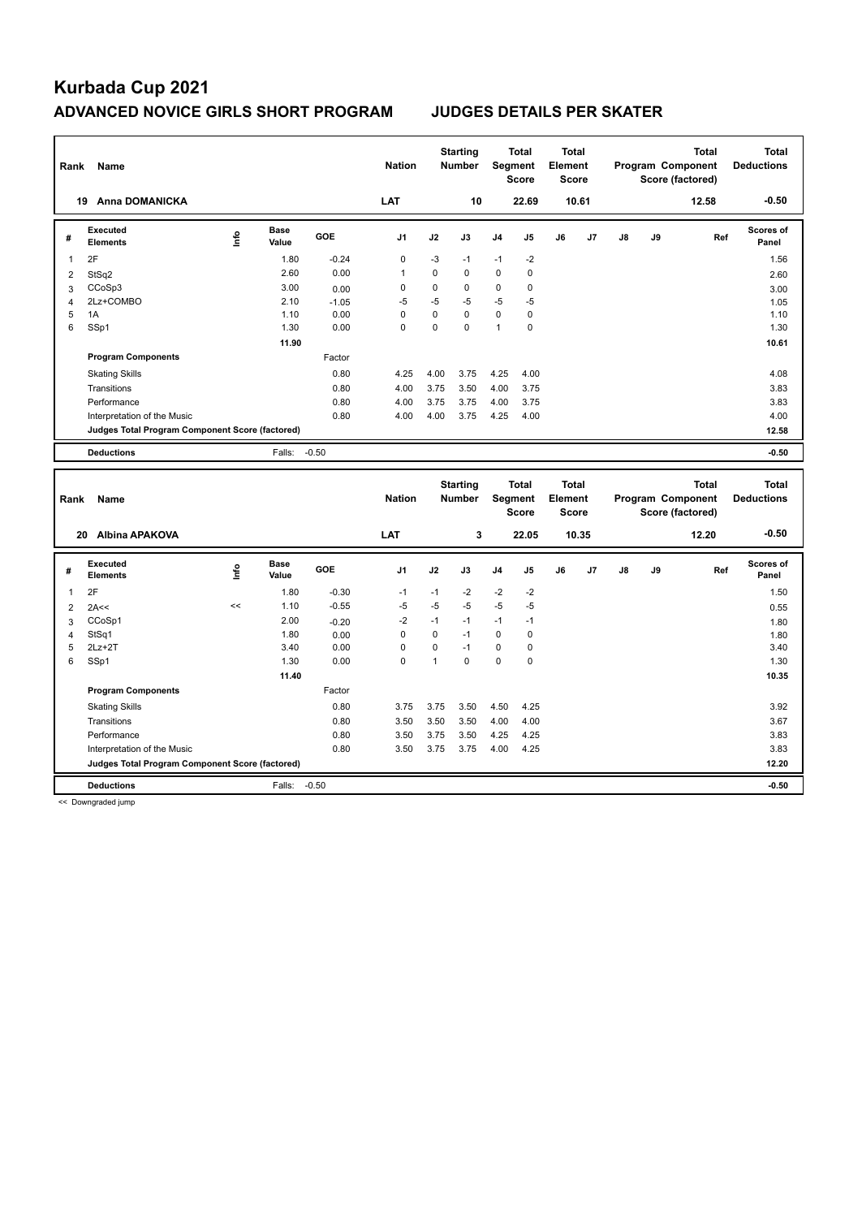| Rank | Name                                            |      |                      |            | <b>Nation</b> |          | <b>Starting</b><br><b>Number</b> | Segment        | <b>Total</b><br><b>Score</b> | <b>Total</b><br>Element<br><b>Score</b> |       |               |    | <b>Total</b><br>Program Component<br>Score (factored) | <b>Total</b><br><b>Deductions</b> |
|------|-------------------------------------------------|------|----------------------|------------|---------------|----------|----------------------------------|----------------|------------------------------|-----------------------------------------|-------|---------------|----|-------------------------------------------------------|-----------------------------------|
| 19   | <b>Anna DOMANICKA</b>                           |      |                      |            | LAT           |          | 10                               |                | 22.69                        |                                         | 10.61 |               |    | 12.58                                                 | $-0.50$                           |
| #    | Executed<br><b>Elements</b>                     | ١nf٥ | <b>Base</b><br>Value | <b>GOE</b> | J1            | J2       | J3                               | J <sub>4</sub> | J5                           | J6                                      | J7    | $\mathsf{J}8$ | J9 | Ref                                                   | <b>Scores of</b><br>Panel         |
| 1    | 2F                                              |      | 1.80                 | $-0.24$    | 0             | $-3$     | $-1$                             | $-1$           | $-2$                         |                                         |       |               |    |                                                       | 1.56                              |
| 2    | StSq2                                           |      | 2.60                 | 0.00       | $\mathbf{1}$  | 0        | 0                                | $\mathbf 0$    | 0                            |                                         |       |               |    |                                                       | 2.60                              |
| 3    | CCoSp3                                          |      | 3.00                 | 0.00       | 0             | 0        | 0                                | 0              | 0                            |                                         |       |               |    |                                                       | 3.00                              |
| 4    | 2Lz+COMBO                                       |      | 2.10                 | $-1.05$    | $-5$          | $-5$     | $-5$                             | $-5$           | $-5$                         |                                         |       |               |    |                                                       | 1.05                              |
| 5    | 1A                                              |      | 1.10                 | 0.00       | $\Omega$      | $\Omega$ | $\Omega$                         | $\mathbf 0$    | $\mathbf 0$                  |                                         |       |               |    |                                                       | 1.10                              |
| 6    | SSp1                                            |      | 1.30                 | 0.00       | $\mathbf 0$   | $\Omega$ | 0                                | 1              | $\mathbf 0$                  |                                         |       |               |    |                                                       | 1.30                              |
|      |                                                 |      | 11.90                |            |               |          |                                  |                |                              |                                         |       |               |    |                                                       | 10.61                             |
|      | <b>Program Components</b>                       |      |                      | Factor     |               |          |                                  |                |                              |                                         |       |               |    |                                                       |                                   |
|      | <b>Skating Skills</b>                           |      |                      | 0.80       | 4.25          | 4.00     | 3.75                             | 4.25           | 4.00                         |                                         |       |               |    |                                                       | 4.08                              |
|      | Transitions                                     |      |                      | 0.80       | 4.00          | 3.75     | 3.50                             | 4.00           | 3.75                         |                                         |       |               |    |                                                       | 3.83                              |
|      | Performance                                     |      |                      | 0.80       | 4.00          | 3.75     | 3.75                             | 4.00           | 3.75                         |                                         |       |               |    |                                                       | 3.83                              |
|      | Interpretation of the Music                     |      |                      | 0.80       | 4.00          | 4.00     | 3.75                             | 4.25           | 4.00                         |                                         |       |               |    |                                                       | 4.00                              |
|      | Judges Total Program Component Score (factored) |      |                      |            |               |          |                                  |                |                              |                                         |       |               |    |                                                       | 12.58                             |
|      | <b>Deductions</b>                               |      | Falls:               | $-0.50$    |               |          |                                  |                |                              |                                         |       |               |    |                                                       | $-0.50$                           |
|      |                                                 |      |                      |            |               |          | <b>Starting</b>                  |                | Total                        | Total                                   |       |               |    | <b>Total</b>                                          | <b>Total</b>                      |

| Rank | Name                                            |      |                      |            | <b>Nation</b>  |      | <b>Starting</b><br><b>Number</b> | Segment        | Total<br>Score | Total<br>Element<br><b>Score</b> |       |    |    | Total<br>Program Component<br>Score (factored) | Total<br><b>Deductions</b> |
|------|-------------------------------------------------|------|----------------------|------------|----------------|------|----------------------------------|----------------|----------------|----------------------------------|-------|----|----|------------------------------------------------|----------------------------|
|      | <b>Albina APAKOVA</b><br>20                     |      |                      |            | <b>LAT</b>     |      | 3                                |                | 22.05          |                                  | 10.35 |    |    | 12.20                                          | $-0.50$                    |
| #    | Executed<br><b>Elements</b>                     | ١nf٥ | <b>Base</b><br>Value | <b>GOE</b> | J <sub>1</sub> | J2   | J3                               | J <sub>4</sub> | J5             | J6                               | J7    | J8 | J9 | Ref                                            | Scores of<br>Panel         |
| 1    | 2F                                              |      | 1.80                 | $-0.30$    | $-1$           | $-1$ | $-2$                             | $-2$           | $-2$           |                                  |       |    |    |                                                | 1.50                       |
| 2    | 2A<<                                            | <<   | 1.10                 | $-0.55$    | $-5$           | $-5$ | $-5$                             | $-5$           | $-5$           |                                  |       |    |    |                                                | 0.55                       |
| 3    | CCoSp1                                          |      | 2.00                 | $-0.20$    | $-2$           | $-1$ | $-1$                             | $-1$           | $-1$           |                                  |       |    |    |                                                | 1.80                       |
| 4    | StSq1                                           |      | 1.80                 | 0.00       | 0              | 0    | $-1$                             | $\mathbf 0$    | $\mathbf 0$    |                                  |       |    |    |                                                | 1.80                       |
| 5    | $2Lz+2T$                                        |      | 3.40                 | 0.00       | 0              | 0    | $-1$                             | $\mathbf 0$    | 0              |                                  |       |    |    |                                                | 3.40                       |
| 6    | SSp1                                            |      | 1.30                 | 0.00       | 0              | 1    | 0                                | 0              | 0              |                                  |       |    |    |                                                | 1.30                       |
|      |                                                 |      | 11.40                |            |                |      |                                  |                |                |                                  |       |    |    |                                                | 10.35                      |
|      | <b>Program Components</b>                       |      |                      | Factor     |                |      |                                  |                |                |                                  |       |    |    |                                                |                            |
|      | <b>Skating Skills</b>                           |      |                      | 0.80       | 3.75           | 3.75 | 3.50                             | 4.50           | 4.25           |                                  |       |    |    |                                                | 3.92                       |
|      | Transitions                                     |      |                      | 0.80       | 3.50           | 3.50 | 3.50                             | 4.00           | 4.00           |                                  |       |    |    |                                                | 3.67                       |
|      | Performance                                     |      |                      | 0.80       | 3.50           | 3.75 | 3.50                             | 4.25           | 4.25           |                                  |       |    |    |                                                | 3.83                       |
|      | Interpretation of the Music                     |      |                      | 0.80       | 3.50           | 3.75 | 3.75                             | 4.00           | 4.25           |                                  |       |    |    |                                                | 3.83                       |
|      | Judges Total Program Component Score (factored) |      |                      |            |                |      |                                  |                |                |                                  |       |    |    |                                                | 12.20                      |
|      | <b>Deductions</b>                               |      | Falls:               | $-0.50$    |                |      |                                  |                |                |                                  |       |    |    |                                                | $-0.50$                    |

<< Downgraded jump